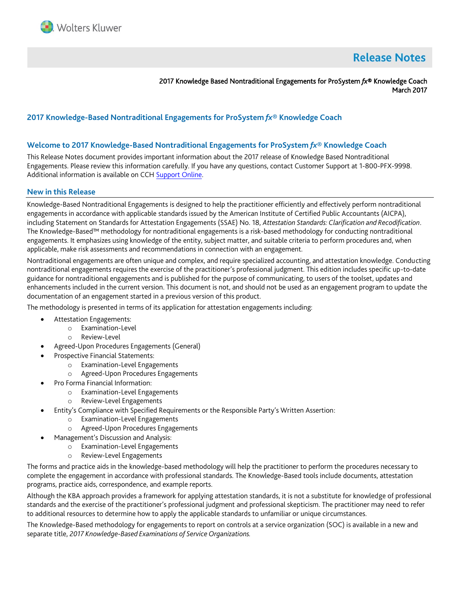

# **Release Notes**

2017 Knowledge Based Nontraditional Engagements for ProSystem *fx*® Knowledge Coach March 2017

## **2017 Knowledge-Based Nontraditional Engagements for ProSystem** *fx***® Knowledge Coach**

#### **Welcome to 2017 Knowledge-Based Nontraditional Engagements for ProSystem** *fx***® Knowledge Coach**

This Release Notes document provides important information about the 2017 release of Knowledge Based Nontraditional Engagements. Please review this information carefully. If you have any questions, contact Customer Support at 1-800-PFX-9998. Additional information is available on CCH [Support Online.](http://support.cch.com/productsupport/)

#### **New in this Release**

Knowledge-Based Nontraditional Engagements is designed to help the practitioner efficiently and effectively perform nontraditional engagements in accordance with applicable standards issued by the American Institute of Certified Public Accountants (AICPA), including Statement on Standards for Attestation Engagements (SSAE) No. 18, *Attestation Standards: Clarification and Recodification*. The Knowledge-Based™ methodology for nontraditional engagements is a risk-based methodology for conducting nontraditional engagements. It emphasizes using knowledge of the entity, subject matter, and suitable criteria to perform procedures and, when applicable, make risk assessments and recommendations in connection with an engagement.

Nontraditional engagements are often unique and complex, and require specialized accounting, and attestation knowledge. Conducting nontraditional engagements requires the exercise of the practitioner's professional judgment. This edition includes specific up-to-date guidance for nontraditional engagements and is published for the purpose of communicating, to users of the toolset, updates and enhancements included in the current version. This document is not, and should not be used as an engagement program to update the documentation of an engagement started in a previous version of this product.

The methodology is presented in terms of its application for attestation engagements including:

- Attestation Engagements:
	- o Examination-Level
	- o Review-Level
- Agreed-Upon Procedures Engagements (General)
- Prospective Financial Statements:
	- o Examination-Level Engagements
	- o Agreed-Upon Procedures Engagements
- Pro Forma Financial Information:
	- o Examination-Level Engagements
	- o Review-Level Engagements
- Entity's Compliance with Specified Requirements or the Responsible Party's Written Assertion:
	- o Examination-Level Engagements
	- o Agreed-Upon Procedures Engagements
	- Management's Discussion and Analysis:
		- o Examination-Level Engagements
		- o Review-Level Engagements

The forms and practice aids in the knowledge-based methodology will help the practitioner to perform the procedures necessary to complete the engagement in accordance with professional standards. The Knowledge-Based tools include documents, attestation programs, practice aids, correspondence, and example reports.

Although the KBA approach provides a framework for applying attestation standards, it is not a substitute for knowledge of professional standards and the exercise of the practitioner's professional judgment and professional skepticism. The practitioner may need to refer to additional resources to determine how to apply the applicable standards to unfamiliar or unique circumstances.

The Knowledge-Based methodology for engagements to report on controls at a service organization (SOC) is available in a new and separate title, *2017 Knowledge-Based Examinations of Service Organizations.*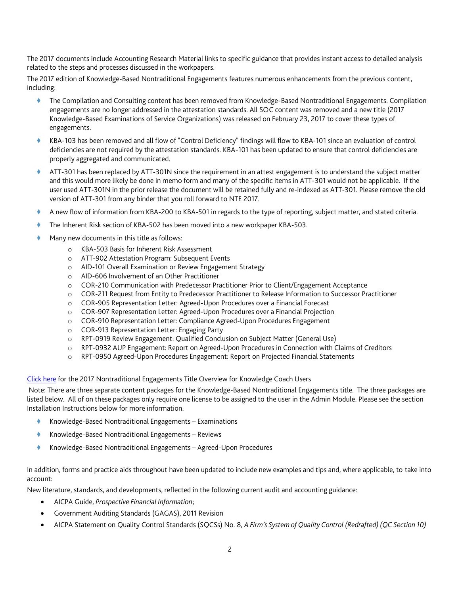The 2017 documents include Accounting Research Material links to specific guidance that provides instant access to detailed analysis related to the steps and processes discussed in the workpapers.

The 2017 edition of Knowledge-Based Nontraditional Engagements features numerous enhancements from the previous content, including:

- The Compilation and Consulting content has been removed from Knowledge-Based Nontraditional Engagements. Compilation engagements are no longer addressed in the attestation standards. All SOC content was removed and a new title (2017 Knowledge-Based Examinations of Service Organizations) was released on February 23, 2017 to cover these types of engagements.
- KBA-103 has been removed and all flow of "Control Deficiency" findings will flow to KBA-101 since an evaluation of control deficiencies are not required by the attestation standards. KBA-101 has been updated to ensure that control deficiencies are properly aggregated and communicated.
- ATT-301 has been replaced by ATT-301N since the requirement in an attest engagement is to understand the subject matter and this would more likely be done in memo form and many of the specific items in ATT-301 would not be applicable. If the user used ATT-301N in the prior release the document will be retained fully and re-indexed as ATT-301. Please remove the old version of ATT-301 from any binder that you roll forward to NTE 2017.
- A new flow of information from KBA-200 to KBA-501 in regards to the type of reporting, subject matter, and stated criteria.
- The Inherent Risk section of KBA-502 has been moved into a new workpaper KBA-503.
- Many new documents in this title as follows:
	- o KBA-503 Basis for Inherent Risk Assessment
	- o ATT-902 Attestation Program: Subsequent Events
	- o AID-101 Overall Examination or Review Engagement Strategy
	- o AID-606 Involvement of an Other Practitioner
	- o COR-210 Communication with Predecessor Practitioner Prior to Client/Engagement Acceptance
	- o COR-211 Request from Entity to Predecessor Practitioner to Release Information to Successor Practitioner
	- o COR-905 Representation Letter: Agreed-Upon Procedures over a Financial Forecast
	- o COR-907 Representation Letter: Agreed-Upon Procedures over a Financial Projection
	- o COR-910 Representation Letter: Compliance Agreed-Upon Procedures Engagement
	- o COR-913 Representation Letter: Engaging Party
	- o RPT-0919 Review Engagement: Qualified Conclusion on Subject Matter (General Use)
	- o RPT-0932 AUP Engagement: Report on Agreed-Upon Procedures in Connection with Claims of Creditors
	- o RPT-0950 Agreed-Upon Procedures Engagement: Report on Projected Financial Statements

#### [Click here](http://support.cch.com/updates/KnowledgeCoach/pdf/guides_tab/2017%20Nontraditional%20Engagements%20Title%20Overview%20for%20Knowledge%20Coach%20Users.pdf) for the 2017 Nontraditional Engagements Title Overview for Knowledge Coach Users

Note: There are three separate content packages for the Knowledge-Based Nontraditional Engagements title. The three packages are listed below. All of on these packages only require one license to be assigned to the user in the Admin Module. Please see the section Installation Instructions below for more information.

- Knowledge-Based Nontraditional Engagements Examinations
- ◆ Knowledge-Based Nontraditional Engagements Reviews
- Knowledge-Based Nontraditional Engagements Agreed-Upon Procedures

In addition, forms and practice aids throughout have been updated to include new examples and tips and, where applicable, to take into account:

New literature, standards, and developments, reflected in the following current audit and accounting guidance:

- AICPA Guide, *Prospective Financial Information*;
- Government Auditing Standards (GAGAS), 2011 Revision
- AICPA Statement on Quality Control Standards (SQCSs) No. 8, *A Firm's System of Quality Control (Redrafted) (QC Section 10)*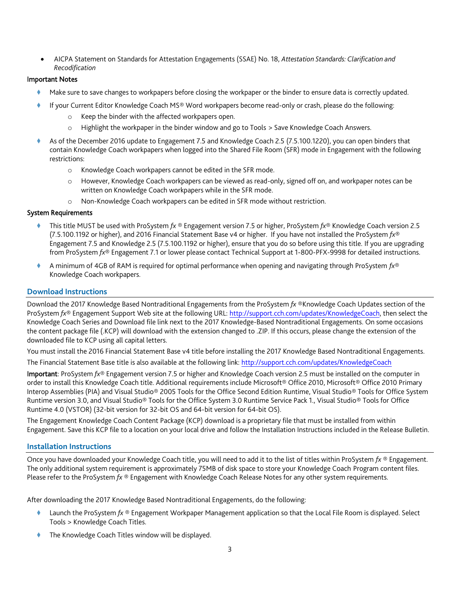AICPA Statement on Standards for Attestation Engagements (SSAE) No. 18, *Attestation Standards: Clarification and Recodification*

#### Important Notes

- Make sure to save changes to workpapers before closing the workpaper or the binder to ensure data is correctly updated.
- If your Current Editor Knowledge Coach MS® Word workpapers become read-only or crash, please do the following:
	- o Keep the binder with the affected workpapers open.
	- o Highlight the workpaper in the binder window and go to Tools > Save Knowledge Coach Answers.
- As of the December 2016 update to Engagement 7.5 and Knowledge Coach 2.5 (7.5.100.1220), you can open binders that contain Knowledge Coach workpapers when logged into the Shared File Room (SFR) mode in Engagement with the following restrictions:
	- o Knowledge Coach workpapers cannot be edited in the SFR mode.
	- o However, Knowledge Coach workpapers can be viewed as read-only, signed off on, and workpaper notes can be written on Knowledge Coach workpapers while in the SFR mode.
	- o Non-Knowledge Coach workpapers can be edited in SFR mode without restriction.

#### System Requirements

- This title MUST be used with ProSystem *fx* ® Engagement version 7.5 or higher, ProSystem *fx*® Knowledge Coach version 2.5 (7.5.100.1192 or higher), and 2016 Financial Statement Base v4 or higher. If you have not installed the ProSystem *fx*® Engagement 7.5 and Knowledge 2.5 (7.5.100.1192 or higher), ensure that you do so before using this title. If you are upgrading from ProSystem *fx*® Engagement 7.1 or lower please contact Technical Support at 1-800-PFX-9998 for detailed instructions.
- A minimum of 4GB of RAM is required for optimal performance when opening and navigating through ProSystem *fx*® Knowledge Coach workpapers.

## **Download Instructions**

Download the 2017 Knowledge Based Nontraditional Engagements from the ProSystem *fx* ®Knowledge Coach Updates section of the ProSystem *fx*® Engagement Support Web site at the following URL[: http://support.cch.com/updates/KnowledgeCoach,](http://support.cch.com/updates/KnowledgeCoach) then select the Knowledge Coach Series and Download file link next to the 2017 Knowledge-Based Nontraditional Engagements. On some occasions the content package file (.KCP) will download with the extension changed to .ZIP. If this occurs, please change the extension of the downloaded file to KCP using all capital letters.

You must install the 2016 Financial Statement Base v4 title before installing the 2017 Knowledge Based Nontraditional Engagements.

The Financial Statement Base title is also available at the following link[: http://support.cch.com/updates/KnowledgeCoach](http://support.cch.com/updates/KnowledgeCoach)

Important: ProSystem *fx*® Engagement version 7.5 or higher and Knowledge Coach version 2.5 must be installed on the computer in order to install this Knowledge Coach title. Additional requirements include Microsoft® Office 2010, Microsoft® Office 2010 Primary Interop Assemblies (PIA) and Visual Studio® 2005 Tools for the Office Second Edition Runtime, Visual Studio® Tools for Office System Runtime version 3.0, and Visual Studio® Tools for the Office System 3.0 Runtime Service Pack 1., Visual Studio® Tools for Office Runtime 4.0 (VSTOR) (32-bit version for 32-bit OS and 64-bit version for 64-bit OS).

The Engagement Knowledge Coach Content Package (KCP) download is a proprietary file that must be installed from within Engagement. Save this KCP file to a location on your local drive and follow the Installation Instructions included in the Release Bulletin.

## **Installation Instructions**

Once you have downloaded your Knowledge Coach title, you will need to add it to the list of titles within ProSystem *fx* ® Engagement. The only additional system requirement is approximately 75MB of disk space to store your Knowledge Coach Program content files. Please refer to the ProSystem *fx* ® Engagement with Knowledge Coach Release Notes for any other system requirements.

After downloading the 2017 Knowledge Based Nontraditional Engagements, do the following:

- Launch the ProSystem *fx* ® Engagement Workpaper Management application so that the Local File Room is displayed. Select Tools > Knowledge Coach Titles.
- The Knowledge Coach Titles window will be displayed.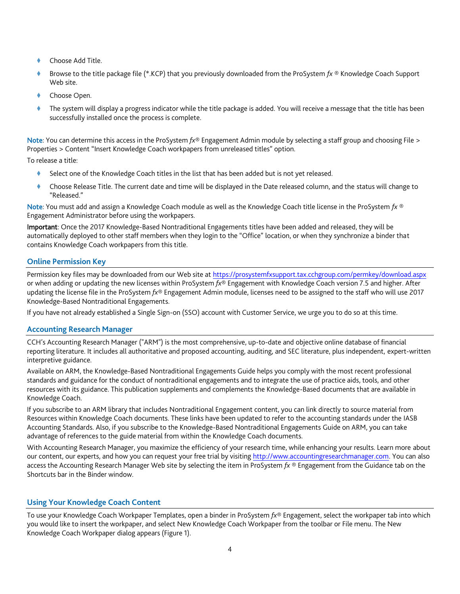- Choose Add Title.
- Browse to the title package file (\*.KCP) that you previously downloaded from the ProSystem *fx* ® Knowledge Coach Support Web site.
- Choose Open.
- The system will display a progress indicator while the title package is added. You will receive a message that the title has been successfully installed once the process is complete.

Note: You can determine this access in the ProSystem *fx*® Engagement Admin module by selecting a staff group and choosing File > Properties > Content "Insert Knowledge Coach workpapers from unreleased titles" option.

To release a title:

- Select one of the Knowledge Coach titles in the list that has been added but is not yet released.
- Choose Release Title. The current date and time will be displayed in the Date released column, and the status will change to "Released."

Note: You must add and assign a Knowledge Coach module as well as the Knowledge Coach title license in the ProSystem *fx* ® Engagement Administrator before using the workpapers.

Important: Once the 2017 Knowledge-Based Nontraditional Engagements titles have been added and released, they will be automatically deployed to other staff members when they login to the "Office" location, or when they synchronize a binder that contains Knowledge Coach workpapers from this title.

## **Online Permission Key**

Permission key files may be downloaded from our Web site a[t https://prosystemfxsupport.tax.cchgroup.com/permkey/download.aspx](https://prosystemfxsupport.tax.cchgroup.com/permkey/download.aspx) or when adding or updating the new licenses within ProSystem *fx*® Engagement with Knowledge Coach version 7.5 and higher. After updating the license file in the ProSystem *fx*® Engagement Admin module, licenses need to be assigned to the staff who will use 2017 Knowledge-Based Nontraditional Engagements.

If you have not already established a Single Sign-on (SSO) account with Customer Service, we urge you to do so at this time.

#### **Accounting Research Manager**

CCH's Accounting Research Manager ("ARM") is the most comprehensive, up-to-date and objective online database of financial reporting literature. It includes all authoritative and proposed accounting, auditing, and SEC literature, plus independent, expert-written interpretive guidance.

Available on ARM, the Knowledge-Based Nontraditional Engagements Guide helps you comply with the most recent professional standards and guidance for the conduct of nontraditional engagements and to integrate the use of practice aids, tools, and other resources with its guidance. This publication supplements and complements the Knowledge-Based documents that are available in Knowledge Coach.

If you subscribe to an ARM library that includes Nontraditional Engagement content, you can link directly to source material from Resources within Knowledge Coach documents. These links have been updated to refer to the accounting standards under the IASB Accounting Standards. Also, if you subscribe to the Knowledge-Based Nontraditional Engagements Guide on ARM, you can take advantage of references to the guide material from within the Knowledge Coach documents.

With Accounting Research Manager, you maximize the efficiency of your research time, while enhancing your results. Learn more about our content, our experts, and how you can request your free trial by visiting [http://www.accountingresearchmanager.com.](http://www.accountingresearchmanager.com/) You can also access the Accounting Research Manager Web site by selecting the item in ProSystem *fx* ® Engagement from the Guidance tab on the Shortcuts bar in the Binder window.

## **Using Your Knowledge Coach Content**

To use your Knowledge Coach Workpaper Templates, open a binder in ProSystem *fx*® Engagement, select the workpaper tab into which you would like to insert the workpaper, and select New Knowledge Coach Workpaper from the toolbar or File menu. The New Knowledge Coach Workpaper dialog appears (Figure 1).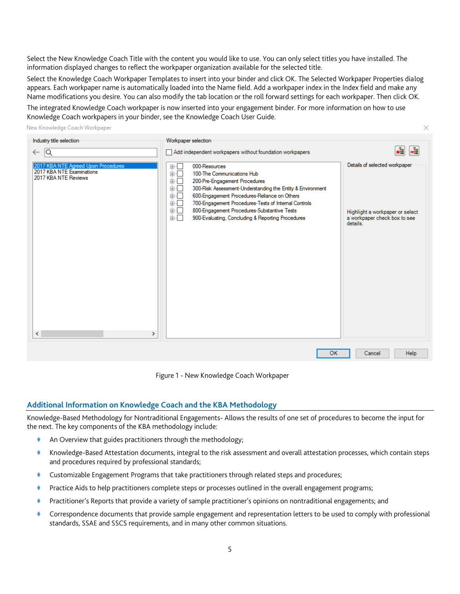Select the New Knowledge Coach Title with the content you would like to use. You can only select titles you have installed. The information displayed changes to reflect the workpaper organization available for the selected title.

Select the Knowledge Coach Workpaper Templates to insert into your binder and click OK. The Selected Workpaper Properties dialog appears. Each workpaper name is automatically loaded into the Name field. Add a workpaper index in the Index field and make any Name modifications you desire. You can also modify the tab location or the roll forward settings for each workpaper. Then click OK.

 $\times$ 

The integrated Knowledge Coach workpaper is now inserted into your engagement binder. For more information on how to use Knowledge Coach workpapers in your binder, see the Knowledge Coach User Guide.

New Knowledge Coach Workpaper

| Industry title selection                                                                                                  | Workpaper selection                                                                                                                                                                                                                                                                                                                                                                                           |                                                                                                                                |
|---------------------------------------------------------------------------------------------------------------------------|---------------------------------------------------------------------------------------------------------------------------------------------------------------------------------------------------------------------------------------------------------------------------------------------------------------------------------------------------------------------------------------------------------------|--------------------------------------------------------------------------------------------------------------------------------|
| 1Q<br>$\leftarrow$                                                                                                        | Add independent workpapers without foundation workpapers                                                                                                                                                                                                                                                                                                                                                      | ł.<br>-립                                                                                                                       |
| 2017 KBA NTE Agreed Upon Procedures<br>2017 KBA NTE Examinations<br>2017 KBA NTE Reviews<br>$\checkmark$<br>$\rightarrow$ | ⊞…⊡<br>000-Resources<br>100-The Communications Hub<br>画「<br>200-Pre-Engagement Procedures<br>画「<br>面板<br>300-Risk Assessment-Understanding the Entity & Environment<br>600-Engagement Procedures-Reliance on Others<br>田…<br>700-Engagement Procedures-Tests of Internal Controls<br>面一<br>800-Engagement Procedures-Substantive Tests<br>由…<br>900-Evaluating, Concluding & Reporting Procedures<br>面面<br>OK | Details of selected workpaper<br>Highlight a workpaper or select<br>a workpaper check box to see<br>details.<br>Help<br>Cancel |
|                                                                                                                           |                                                                                                                                                                                                                                                                                                                                                                                                               |                                                                                                                                |

Figure 1 - New Knowledge Coach Workpaper

## **Additional Information on Knowledge Coach and the KBA Methodology**

Knowledge-Based Methodology for Nontraditional Engagements- Allows the results of one set of procedures to become the input for the next. The key components of the KBA methodology include:

- An Overview that guides practitioners through the methodology;
- Knowledge-Based Attestation documents, integral to the risk assessment and overall attestation processes, which contain steps and procedures required by professional standards;
- Customizable Engagement Programs that take practitioners through related steps and procedures;
- Practice Aids to help practitioners complete steps or processes outlined in the overall engagement programs;
- Practitioner's Reports that provide a variety of sample practitioner's opinions on nontraditional engagements; and
- Correspondence documents that provide sample engagement and representation letters to be used to comply with professional standards, SSAE and SSCS requirements, and in many other common situations.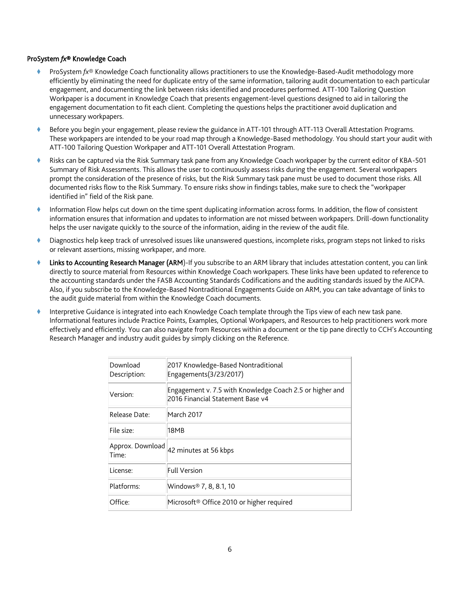#### ProSystem *fx*® Knowledge Coach

- ProSystem *fx*® Knowledge Coach functionality allows practitioners to use the Knowledge-Based-Audit methodology more efficiently by eliminating the need for duplicate entry of the same information, tailoring audit documentation to each particular engagement, and documenting the link between risks identified and procedures performed. ATT-100 Tailoring Question Workpaper is a document in Knowledge Coach that presents engagement-level questions designed to aid in tailoring the engagement documentation to fit each client. Completing the questions helps the practitioner avoid duplication and unnecessary workpapers.
- Before you begin your engagement, please review the guidance in ATT-101 through ATT-113 Overall Attestation Programs. These workpapers are intended to be your road map through a Knowledge-Based methodology. You should start your audit with ATT-100 Tailoring Question Workpaper and ATT-101 Overall Attestation Program.
- Risks can be captured via the Risk Summary task pane from any Knowledge Coach workpaper by the current editor of KBA-501 Summary of Risk Assessments. This allows the user to continuously assess risks during the engagement. Several workpapers prompt the consideration of the presence of risks, but the Risk Summary task pane must be used to document those risks. All documented risks flow to the Risk Summary. To ensure risks show in findings tables, make sure to check the "workpaper identified in" field of the Risk pane.
- Information Flow helps cut down on the time spent duplicating information across forms. In addition, the flow of consistent information ensures that information and updates to information are not missed between workpapers. Drill-down functionality helps the user navigate quickly to the source of the information, aiding in the review of the audit file.
- Diagnostics help keep track of unresolved issues like unanswered questions, incomplete risks, program steps not linked to risks or relevant assertions, missing workpaper, and more.
- Links to Accounting Research Manager (ARM)-If you subscribe to an ARM library that includes attestation content, you can link directly to source material from Resources within Knowledge Coach workpapers. These links have been updated to reference to the accounting standards under the FASB Accounting Standards Codifications and the auditing standards issued by the AICPA. Also, if you subscribe to the Knowledge-Based Nontraditional Engagements Guide on ARM, you can take advantage of links to the audit guide material from within the Knowledge Coach documents.
- Interpretive Guidance is integrated into each Knowledge Coach template through the Tips view of each new task pane. Informational features include Practice Points, Examples, Optional Workpapers, and Resources to help practitioners work more effectively and efficiently. You can also navigate from Resources within a document or the tip pane directly to CCH's Accounting Research Manager and industry audit guides by simply clicking on the Reference.

| Download<br>Description:  | 2017 Knowledge-Based Nontraditional<br>Engagements(3/23/2017)                                |
|---------------------------|----------------------------------------------------------------------------------------------|
| Version:                  | Engagement v. 7.5 with Knowledge Coach 2.5 or higher and<br>2016 Financial Statement Base v4 |
| Release Date:             | March 2017                                                                                   |
| File size:                | 18MB                                                                                         |
| Approx. Download<br>Time: | 42 minutes at 56 kbps                                                                        |
| License:                  | Full Version                                                                                 |
| Platforms:                | Windows® 7, 8, 8.1, 10                                                                       |
| Office:                   | Microsoft <sup>®</sup> Office 2010 or higher required                                        |